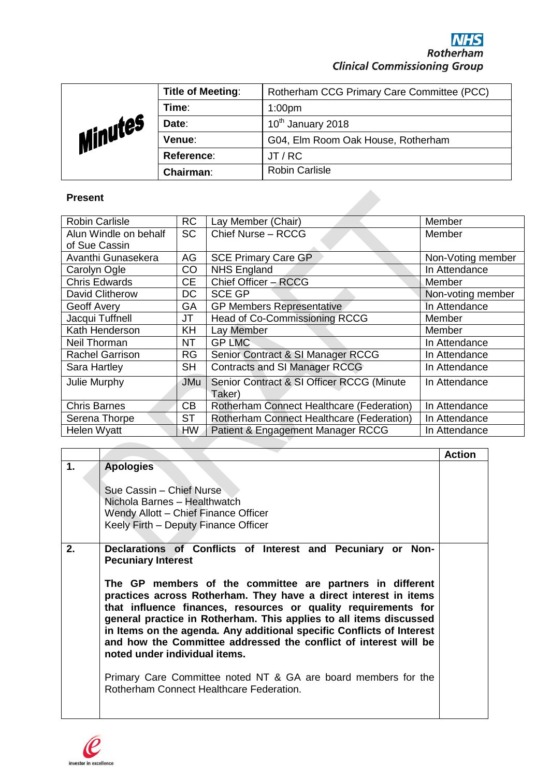| Minutes | <b>Title of Meeting:</b> | Rotherham CCG Primary Care Committee (PCC) |
|---------|--------------------------|--------------------------------------------|
|         | Time:                    | 1:00 <sub>pm</sub>                         |
|         | Date:                    | 10 <sup>th</sup> January 2018              |
|         | Venue:                   | G04, Elm Room Oak House, Rotherham         |
|         | Reference:               | JT/RC                                      |
|         | Chairman:                | <b>Robin Carlisle</b>                      |

## **Present**

| <b>Robin Carlisle</b>  | <b>RC</b>  | Lay Member (Chair)                        | Member            |
|------------------------|------------|-------------------------------------------|-------------------|
| Alun Windle on behalf  | <b>SC</b>  | Chief Nurse - RCCG                        | Member            |
| of Sue Cassin          |            |                                           |                   |
| Avanthi Gunasekera     | AG         | <b>SCE Primary Care GP</b>                | Non-Voting member |
| Carolyn Ogle           | CO         | <b>NHS England</b>                        | In Attendance     |
| <b>Chris Edwards</b>   | <b>CE</b>  | Chief Officer - RCCG                      | Member            |
| David Clitherow        | <b>DC</b>  | <b>SCE GP</b>                             | Non-voting member |
| Geoff Avery            | GA         | <b>GP Members Representative</b>          | In Attendance     |
| Jacqui Tuffnell        | JT         | Head of Co-Commissioning RCCG             | Member            |
| Kath Henderson         | KH         | Lay Member                                | Member            |
| Neil Thorman           | NT         | <b>GP LMC</b>                             | In Attendance     |
| <b>Rachel Garrison</b> | <b>RG</b>  | Senior Contract & SI Manager RCCG         | In Attendance     |
| Sara Hartley           | <b>SH</b>  | Contracts and SI Manager RCCG             | In Attendance     |
| Julie Murphy           | <b>JMu</b> | Senior Contract & SI Officer RCCG (Minute | In Attendance     |
|                        |            | Taker)                                    |                   |
| <b>Chris Barnes</b>    | CB         | Rotherham Connect Healthcare (Federation) | In Attendance     |
| Serena Thorpe          | <b>ST</b>  | Rotherham Connect Healthcare (Federation) | In Attendance     |
| Helen Wyatt            | HW         | Patient & Engagement Manager RCCG         | In Attendance     |

|    |                                                                                                                                                                                                                                                                                                                                                                                                                                                                                                                                                                                                                                                               | <b>Action</b> |
|----|---------------------------------------------------------------------------------------------------------------------------------------------------------------------------------------------------------------------------------------------------------------------------------------------------------------------------------------------------------------------------------------------------------------------------------------------------------------------------------------------------------------------------------------------------------------------------------------------------------------------------------------------------------------|---------------|
| 1. | <b>Apologies</b><br>Sue Cassin – Chief Nurse<br>Nichola Barnes - Healthwatch<br>Wendy Allott - Chief Finance Officer<br>Keely Firth - Deputy Finance Officer                                                                                                                                                                                                                                                                                                                                                                                                                                                                                                  |               |
| 2. | Declarations of Conflicts of Interest and Pecuniary or Non-<br><b>Pecuniary Interest</b><br>The GP members of the committee are partners in different<br>practices across Rotherham. They have a direct interest in items<br>that influence finances, resources or quality requirements for<br>general practice in Rotherham. This applies to all items discussed<br>in Items on the agenda. Any additional specific Conflicts of Interest<br>and how the Committee addressed the conflict of interest will be<br>noted under individual items.<br>Primary Care Committee noted NT & GA are board members for the<br>Rotherham Connect Healthcare Federation. |               |

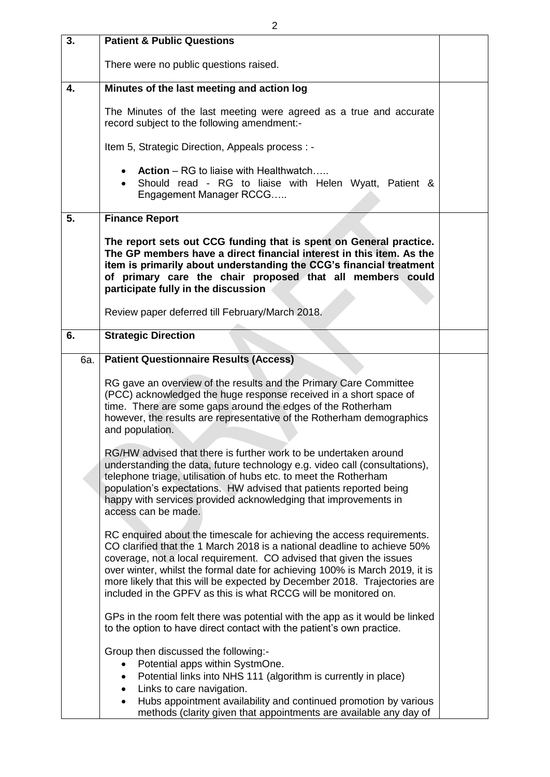| 3.  | <b>Patient &amp; Public Questions</b>                                                                                                                                                                                                                                                                                                                                                                                                                    |  |
|-----|----------------------------------------------------------------------------------------------------------------------------------------------------------------------------------------------------------------------------------------------------------------------------------------------------------------------------------------------------------------------------------------------------------------------------------------------------------|--|
|     | There were no public questions raised.                                                                                                                                                                                                                                                                                                                                                                                                                   |  |
| 4.  | Minutes of the last meeting and action log                                                                                                                                                                                                                                                                                                                                                                                                               |  |
|     | The Minutes of the last meeting were agreed as a true and accurate<br>record subject to the following amendment:-                                                                                                                                                                                                                                                                                                                                        |  |
|     | Item 5, Strategic Direction, Appeals process : -                                                                                                                                                                                                                                                                                                                                                                                                         |  |
|     | <b>Action</b> – RG to liaise with Healthwatch<br>Should read - RG to liaise with Helen Wyatt, Patient &<br>Engagement Manager RCCG                                                                                                                                                                                                                                                                                                                       |  |
| 5.  | <b>Finance Report</b>                                                                                                                                                                                                                                                                                                                                                                                                                                    |  |
|     | The report sets out CCG funding that is spent on General practice.<br>The GP members have a direct financial interest in this item. As the<br>item is primarily about understanding the CCG's financial treatment<br>of primary care the chair proposed that all members could<br>participate fully in the discussion                                                                                                                                    |  |
|     | Review paper deferred till February/March 2018.                                                                                                                                                                                                                                                                                                                                                                                                          |  |
| 6.  | <b>Strategic Direction</b>                                                                                                                                                                                                                                                                                                                                                                                                                               |  |
| 6a. | <b>Patient Questionnaire Results (Access)</b>                                                                                                                                                                                                                                                                                                                                                                                                            |  |
|     | RG gave an overview of the results and the Primary Care Committee<br>(PCC) acknowledged the huge response received in a short space of<br>time. There are some gaps around the edges of the Rotherham<br>however, the results are representative of the Rotherham demographics<br>and population.                                                                                                                                                        |  |
|     | RG/HW advised that there is further work to be undertaken around<br>understanding the data, future technology e.g. video call (consultations),<br>telephone triage, utilisation of hubs etc. to meet the Rotherham<br>population's expectations. HW advised that patients reported being<br>happy with services provided acknowledging that improvements in<br>access can be made.                                                                       |  |
|     | RC enquired about the timescale for achieving the access requirements.<br>CO clarified that the 1 March 2018 is a national deadline to achieve 50%<br>coverage, not a local requirement. CO advised that given the issues<br>over winter, whilst the formal date for achieving 100% is March 2019, it is<br>more likely that this will be expected by December 2018. Trajectories are<br>included in the GPFV as this is what RCCG will be monitored on. |  |
|     | GPs in the room felt there was potential with the app as it would be linked<br>to the option to have direct contact with the patient's own practice.                                                                                                                                                                                                                                                                                                     |  |
|     | Group then discussed the following:-<br>Potential apps within SystmOne.<br>Potential links into NHS 111 (algorithm is currently in place)<br>٠<br>Links to care navigation.<br>$\bullet$<br>Hubs appointment availability and continued promotion by various<br>$\bullet$<br>methods (clarity given that appointments are available any day of                                                                                                           |  |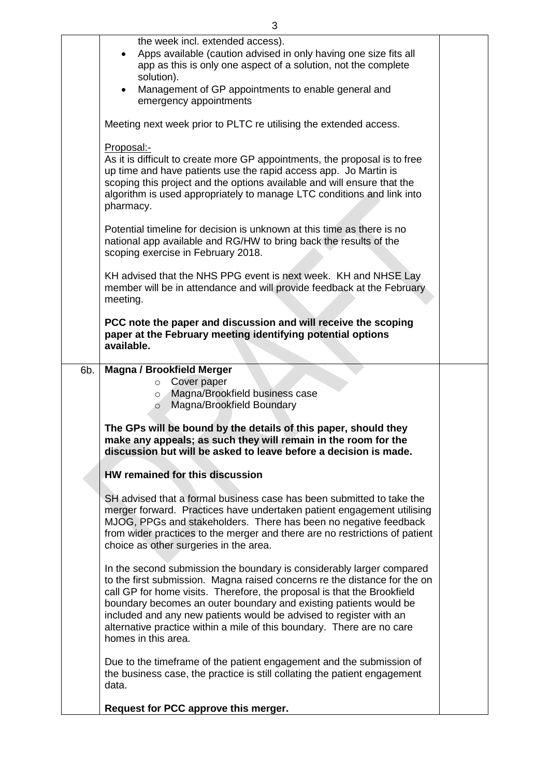|     | 3                                                                                                                                                                                                                                                                                                                                                                                                                                                                         |  |
|-----|---------------------------------------------------------------------------------------------------------------------------------------------------------------------------------------------------------------------------------------------------------------------------------------------------------------------------------------------------------------------------------------------------------------------------------------------------------------------------|--|
|     | the week incl. extended access).<br>Apps available (caution advised in only having one size fits all<br>$\bullet$<br>app as this is only one aspect of a solution, not the complete<br>solution).<br>Management of GP appointments to enable general and<br>$\bullet$<br>emergency appointments                                                                                                                                                                           |  |
|     | Meeting next week prior to PLTC re utilising the extended access.<br>Proposal:-                                                                                                                                                                                                                                                                                                                                                                                           |  |
|     | As it is difficult to create more GP appointments, the proposal is to free<br>up time and have patients use the rapid access app. Jo Martin is<br>scoping this project and the options available and will ensure that the<br>algorithm is used appropriately to manage LTC conditions and link into<br>pharmacy.                                                                                                                                                          |  |
|     | Potential timeline for decision is unknown at this time as there is no<br>national app available and RG/HW to bring back the results of the<br>scoping exercise in February 2018.                                                                                                                                                                                                                                                                                         |  |
|     | KH advised that the NHS PPG event is next week. KH and NHSE Lay<br>member will be in attendance and will provide feedback at the February<br>meeting.                                                                                                                                                                                                                                                                                                                     |  |
|     | PCC note the paper and discussion and will receive the scoping<br>paper at the February meeting identifying potential options<br>available.                                                                                                                                                                                                                                                                                                                               |  |
| 6b. | <b>Magna / Brookfield Merger</b><br>Cover paper<br>$\circ$<br>Magna/Brookfield business case<br>$\circ$<br>Magna/Brookfield Boundary<br>$\circ$                                                                                                                                                                                                                                                                                                                           |  |
|     | The GPs will be bound by the details of this paper, should they<br>make any appeals; as such they will remain in the room for the<br>discussion but will be asked to leave before a decision is made.                                                                                                                                                                                                                                                                     |  |
|     | HW remained for this discussion                                                                                                                                                                                                                                                                                                                                                                                                                                           |  |
|     | SH advised that a formal business case has been submitted to take the<br>merger forward. Practices have undertaken patient engagement utilising<br>MJOG, PPGs and stakeholders. There has been no negative feedback<br>from wider practices to the merger and there are no restrictions of patient<br>choice as other surgeries in the area.                                                                                                                              |  |
|     | In the second submission the boundary is considerably larger compared<br>to the first submission. Magna raised concerns re the distance for the on<br>call GP for home visits. Therefore, the proposal is that the Brookfield<br>boundary becomes an outer boundary and existing patients would be<br>included and any new patients would be advised to register with an<br>alternative practice within a mile of this boundary. There are no care<br>homes in this area. |  |
|     | Due to the timeframe of the patient engagement and the submission of<br>the business case, the practice is still collating the patient engagement<br>data.                                                                                                                                                                                                                                                                                                                |  |
|     | Request for PCC approve this merger.                                                                                                                                                                                                                                                                                                                                                                                                                                      |  |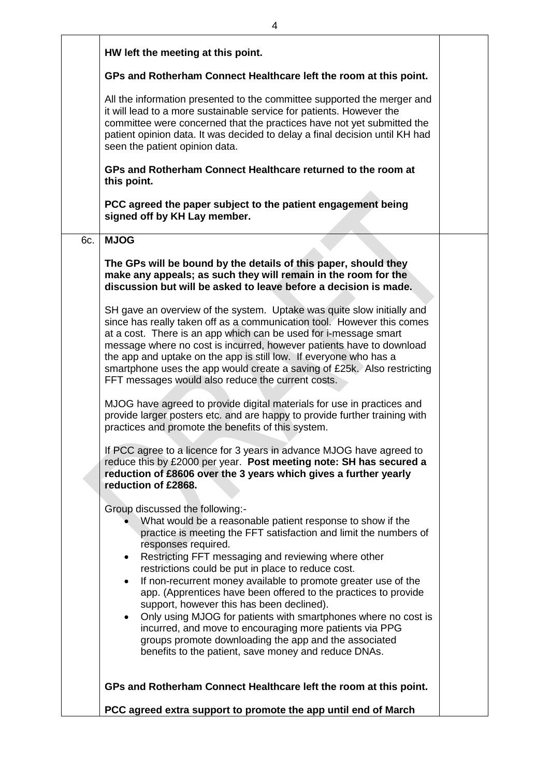|     | HW left the meeting at this point.                                                                                                                                                                                                                                                                                                                                                                                                                                                                                                                                                                                                                                                                                                                                                                                                                                                                                                                                                                          |  |
|-----|-------------------------------------------------------------------------------------------------------------------------------------------------------------------------------------------------------------------------------------------------------------------------------------------------------------------------------------------------------------------------------------------------------------------------------------------------------------------------------------------------------------------------------------------------------------------------------------------------------------------------------------------------------------------------------------------------------------------------------------------------------------------------------------------------------------------------------------------------------------------------------------------------------------------------------------------------------------------------------------------------------------|--|
|     | GPs and Rotherham Connect Healthcare left the room at this point.                                                                                                                                                                                                                                                                                                                                                                                                                                                                                                                                                                                                                                                                                                                                                                                                                                                                                                                                           |  |
|     | All the information presented to the committee supported the merger and<br>it will lead to a more sustainable service for patients. However the<br>committee were concerned that the practices have not yet submitted the<br>patient opinion data. It was decided to delay a final decision until KH had<br>seen the patient opinion data.                                                                                                                                                                                                                                                                                                                                                                                                                                                                                                                                                                                                                                                                  |  |
|     | GPs and Rotherham Connect Healthcare returned to the room at<br>this point.                                                                                                                                                                                                                                                                                                                                                                                                                                                                                                                                                                                                                                                                                                                                                                                                                                                                                                                                 |  |
|     | PCC agreed the paper subject to the patient engagement being<br>signed off by KH Lay member.                                                                                                                                                                                                                                                                                                                                                                                                                                                                                                                                                                                                                                                                                                                                                                                                                                                                                                                |  |
| 6c. | <b>MJOG</b>                                                                                                                                                                                                                                                                                                                                                                                                                                                                                                                                                                                                                                                                                                                                                                                                                                                                                                                                                                                                 |  |
|     | The GPs will be bound by the details of this paper, should they<br>make any appeals; as such they will remain in the room for the<br>discussion but will be asked to leave before a decision is made.<br>SH gave an overview of the system. Uptake was quite slow initially and<br>since has really taken off as a communication tool. However this comes<br>at a cost. There is an app which can be used for i-message smart<br>message where no cost is incurred, however patients have to download<br>the app and uptake on the app is still low. If everyone who has a<br>smartphone uses the app would create a saving of £25k. Also restricting<br>FFT messages would also reduce the current costs.<br>MJOG have agreed to provide digital materials for use in practices and<br>provide larger posters etc. and are happy to provide further training with<br>practices and promote the benefits of this system.<br>If PCC agree to a licence for 3 years in advance MJOG have agreed to            |  |
|     | reduce this by £2000 per year. Post meeting note: SH has secured a<br>reduction of £8606 over the 3 years which gives a further yearly<br>reduction of £2868.<br>Group discussed the following:-<br>What would be a reasonable patient response to show if the<br>practice is meeting the FFT satisfaction and limit the numbers of<br>responses required.<br>Restricting FFT messaging and reviewing where other<br>$\bullet$<br>restrictions could be put in place to reduce cost.<br>If non-recurrent money available to promote greater use of the<br>$\bullet$<br>app. (Apprentices have been offered to the practices to provide<br>support, however this has been declined).<br>Only using MJOG for patients with smartphones where no cost is<br>٠<br>incurred, and move to encouraging more patients via PPG<br>groups promote downloading the app and the associated<br>benefits to the patient, save money and reduce DNAs.<br>GPs and Rotherham Connect Healthcare left the room at this point. |  |
|     | PCC agreed extra support to promote the app until end of March                                                                                                                                                                                                                                                                                                                                                                                                                                                                                                                                                                                                                                                                                                                                                                                                                                                                                                                                              |  |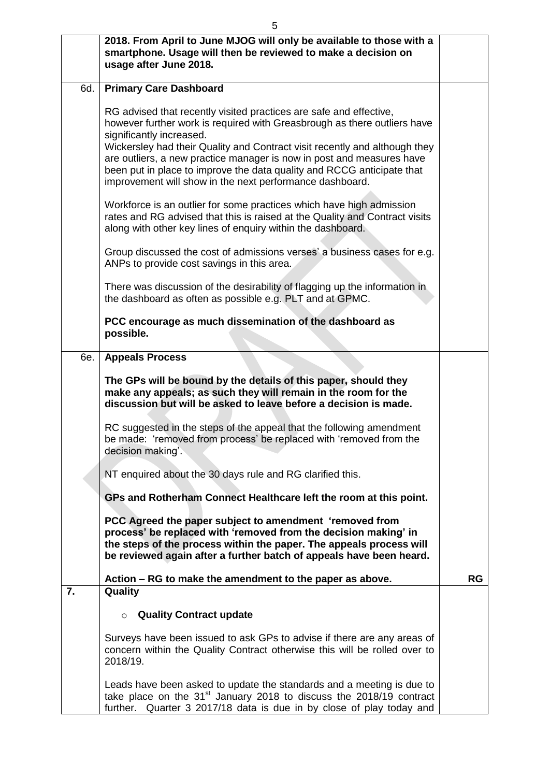|     | 2018. From April to June MJOG will only be available to those with a<br>smartphone. Usage will then be reviewed to make a decision on<br>usage after June 2018.                                                                                                                                                                                                                                                                                                         |           |
|-----|-------------------------------------------------------------------------------------------------------------------------------------------------------------------------------------------------------------------------------------------------------------------------------------------------------------------------------------------------------------------------------------------------------------------------------------------------------------------------|-----------|
| 6d. | <b>Primary Care Dashboard</b>                                                                                                                                                                                                                                                                                                                                                                                                                                           |           |
|     | RG advised that recently visited practices are safe and effective,<br>however further work is required with Greasbrough as there outliers have<br>significantly increased.<br>Wickersley had their Quality and Contract visit recently and although they<br>are outliers, a new practice manager is now in post and measures have<br>been put in place to improve the data quality and RCCG anticipate that<br>improvement will show in the next performance dashboard. |           |
|     | Workforce is an outlier for some practices which have high admission<br>rates and RG advised that this is raised at the Quality and Contract visits<br>along with other key lines of enquiry within the dashboard.                                                                                                                                                                                                                                                      |           |
|     | Group discussed the cost of admissions verses' a business cases for e.g.<br>ANPs to provide cost savings in this area.                                                                                                                                                                                                                                                                                                                                                  |           |
|     | There was discussion of the desirability of flagging up the information in<br>the dashboard as often as possible e.g. PLT and at GPMC.                                                                                                                                                                                                                                                                                                                                  |           |
|     | PCC encourage as much dissemination of the dashboard as<br>possible.                                                                                                                                                                                                                                                                                                                                                                                                    |           |
| 6e. | <b>Appeals Process</b>                                                                                                                                                                                                                                                                                                                                                                                                                                                  |           |
|     | The GPs will be bound by the details of this paper, should they<br>make any appeals; as such they will remain in the room for the<br>discussion but will be asked to leave before a decision is made.                                                                                                                                                                                                                                                                   |           |
|     | RC suggested in the steps of the appeal that the following amendment<br>be made: 'removed from process' be replaced with 'removed from the<br>decision making'.                                                                                                                                                                                                                                                                                                         |           |
|     | NT enquired about the 30 days rule and RG clarified this.                                                                                                                                                                                                                                                                                                                                                                                                               |           |
|     | GPs and Rotherham Connect Healthcare left the room at this point.                                                                                                                                                                                                                                                                                                                                                                                                       |           |
|     | PCC Agreed the paper subject to amendment 'removed from<br>process' be replaced with 'removed from the decision making' in<br>the steps of the process within the paper. The appeals process will<br>be reviewed again after a further batch of appeals have been heard.                                                                                                                                                                                                |           |
| 7.  | Action – RG to make the amendment to the paper as above.<br>Quality                                                                                                                                                                                                                                                                                                                                                                                                     | <b>RG</b> |
|     | <b>Quality Contract update</b><br>$\circ$                                                                                                                                                                                                                                                                                                                                                                                                                               |           |
|     | Surveys have been issued to ask GPs to advise if there are any areas of<br>concern within the Quality Contract otherwise this will be rolled over to<br>2018/19.                                                                                                                                                                                                                                                                                                        |           |
|     | Leads have been asked to update the standards and a meeting is due to<br>take place on the 31 <sup>st</sup> January 2018 to discuss the 2018/19 contract<br>further. Quarter 3 2017/18 data is due in by close of play today and                                                                                                                                                                                                                                        |           |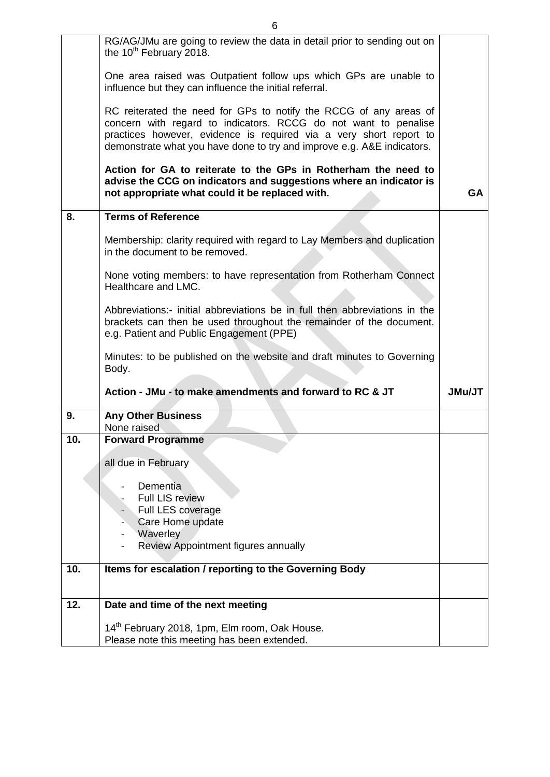|     | RG/AG/JMu are going to review the data in detail prior to sending out on<br>the 10 <sup>th</sup> February 2018.                                                                                                                                                                      |           |
|-----|--------------------------------------------------------------------------------------------------------------------------------------------------------------------------------------------------------------------------------------------------------------------------------------|-----------|
|     | One area raised was Outpatient follow ups which GPs are unable to<br>influence but they can influence the initial referral.                                                                                                                                                          |           |
|     | RC reiterated the need for GPs to notify the RCCG of any areas of<br>concern with regard to indicators. RCCG do not want to penalise<br>practices however, evidence is required via a very short report to<br>demonstrate what you have done to try and improve e.g. A&E indicators. |           |
|     | Action for GA to reiterate to the GPs in Rotherham the need to<br>advise the CCG on indicators and suggestions where an indicator is<br>not appropriate what could it be replaced with.                                                                                              | <b>GA</b> |
| 8.  | <b>Terms of Reference</b>                                                                                                                                                                                                                                                            |           |
|     | Membership: clarity required with regard to Lay Members and duplication<br>in the document to be removed.                                                                                                                                                                            |           |
|     | None voting members: to have representation from Rotherham Connect<br>Healthcare and LMC.                                                                                                                                                                                            |           |
|     | Abbreviations:- initial abbreviations be in full then abbreviations in the<br>brackets can then be used throughout the remainder of the document.<br>e.g. Patient and Public Engagement (PPE)                                                                                        |           |
|     | Minutes: to be published on the website and draft minutes to Governing<br>Body.                                                                                                                                                                                                      |           |
|     | Action - JMu - to make amendments and forward to RC & JT                                                                                                                                                                                                                             | JMu/JT    |
| 9.  | <b>Any Other Business</b><br>None raised                                                                                                                                                                                                                                             |           |
| 10. | <b>Forward Programme</b>                                                                                                                                                                                                                                                             |           |
|     | all due in February                                                                                                                                                                                                                                                                  |           |
|     | Dementia                                                                                                                                                                                                                                                                             |           |
|     | <b>Full LIS review</b>                                                                                                                                                                                                                                                               |           |
|     | Full LES coverage                                                                                                                                                                                                                                                                    |           |
|     | Care Home update<br>Waverley                                                                                                                                                                                                                                                         |           |
|     | Review Appointment figures annually                                                                                                                                                                                                                                                  |           |
| 10. | Items for escalation / reporting to the Governing Body                                                                                                                                                                                                                               |           |
|     |                                                                                                                                                                                                                                                                                      |           |
| 12. | Date and time of the next meeting                                                                                                                                                                                                                                                    |           |
|     | 14 <sup>th</sup> February 2018, 1pm, Elm room, Oak House.                                                                                                                                                                                                                            |           |
|     | Please note this meeting has been extended.                                                                                                                                                                                                                                          |           |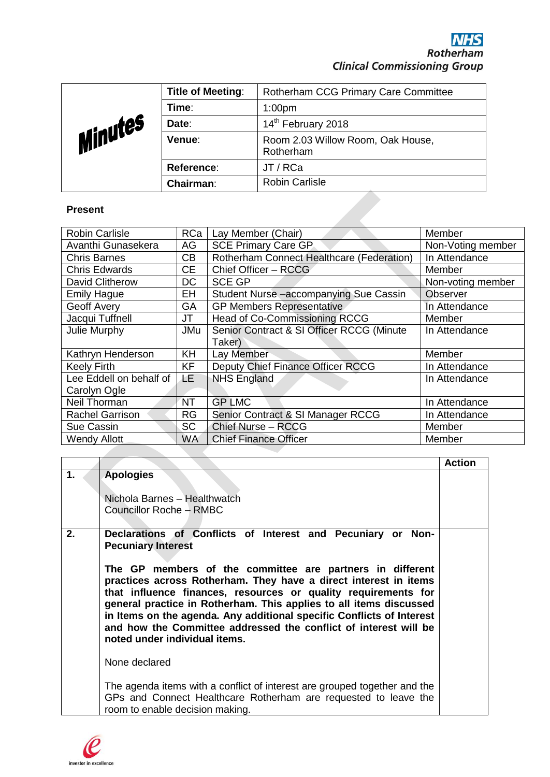| Minutes | <b>Title of Meeting:</b> | <b>Rotherham CCG Primary Care Committee</b>    |
|---------|--------------------------|------------------------------------------------|
|         | Time:                    | 1:00 <sub>pm</sub>                             |
|         | Date:                    | 14 <sup>th</sup> February 2018                 |
|         | Venue:                   | Room 2.03 Willow Room, Oak House,<br>Rotherham |
|         | Reference:               | JT / RCa                                       |
|         | Chairman:                | <b>Robin Carlisle</b>                          |

## **Present**

| <b>Robin Carlisle</b>   | RCa       | Lay Member (Chair)                        | Member            |
|-------------------------|-----------|-------------------------------------------|-------------------|
| Avanthi Gunasekera      | AG        | <b>SCE Primary Care GP</b>                | Non-Voting member |
| <b>Chris Barnes</b>     | CB        | Rotherham Connect Healthcare (Federation) | In Attendance     |
| <b>Chris Edwards</b>    | <b>CE</b> | Chief Officer - RCCG                      | Member            |
| David Clitherow         | <b>DC</b> | <b>SCE GP</b>                             | Non-voting member |
| <b>Emily Hague</b>      | EH        | Student Nurse-accompanying Sue Cassin     | Observer          |
| Geoff Avery             | <b>GA</b> | <b>GP Members Representative</b>          | In Attendance     |
| Jacqui Tuffnell         | JT        | Head of Co-Commissioning RCCG             | Member            |
| Julie Murphy            | JMu       | Senior Contract & SI Officer RCCG (Minute | In Attendance     |
|                         |           | Taker)                                    |                   |
| Kathryn Henderson       | KH        | Lay Member                                | Member            |
| <b>Keely Firth</b>      | <b>KF</b> | Deputy Chief Finance Officer RCCG         | In Attendance     |
| Lee Eddell on behalf of | <b>LE</b> | <b>NHS England</b>                        | In Attendance     |
| Carolyn Ogle            |           |                                           |                   |
| Neil Thorman            | <b>NT</b> | <b>GP LMC</b>                             | In Attendance     |
| <b>Rachel Garrison</b>  | <b>RG</b> | Senior Contract & SI Manager RCCG         | In Attendance     |
| Sue Cassin              | <b>SC</b> | <b>Chief Nurse - RCCG</b>                 | Member            |
| <b>Wendy Allott</b>     | WA        | <b>Chief Finance Officer</b>              | Member            |

|    |                                                                                                                                                                                                                                                                                                                                                                                                                                                                                                                                                                                                                                                                                                                                                     | <b>Action</b> |
|----|-----------------------------------------------------------------------------------------------------------------------------------------------------------------------------------------------------------------------------------------------------------------------------------------------------------------------------------------------------------------------------------------------------------------------------------------------------------------------------------------------------------------------------------------------------------------------------------------------------------------------------------------------------------------------------------------------------------------------------------------------------|---------------|
| 1. | <b>Apologies</b><br>Nichola Barnes - Healthwatch<br><b>Councillor Roche - RMBC</b>                                                                                                                                                                                                                                                                                                                                                                                                                                                                                                                                                                                                                                                                  |               |
| 2. | Declarations of Conflicts of Interest and Pecuniary or Non-<br><b>Pecuniary Interest</b><br>The GP members of the committee are partners in different<br>practices across Rotherham. They have a direct interest in items<br>that influence finances, resources or quality requirements for<br>general practice in Rotherham. This applies to all items discussed<br>in Items on the agenda. Any additional specific Conflicts of Interest<br>and how the Committee addressed the conflict of interest will be<br>noted under individual items.<br>None declared<br>The agenda items with a conflict of interest are grouped together and the<br>GPs and Connect Healthcare Rotherham are requested to leave the<br>room to enable decision making. |               |

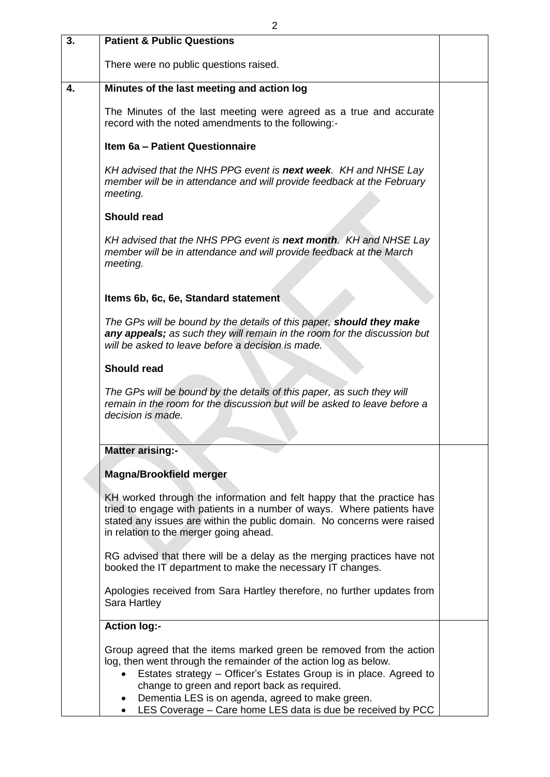| 3. | <b>Patient &amp; Public Questions</b>                                                                                                                                                                                                                                                                                                                                                        |  |
|----|----------------------------------------------------------------------------------------------------------------------------------------------------------------------------------------------------------------------------------------------------------------------------------------------------------------------------------------------------------------------------------------------|--|
|    | There were no public questions raised.                                                                                                                                                                                                                                                                                                                                                       |  |
| 4. | Minutes of the last meeting and action log                                                                                                                                                                                                                                                                                                                                                   |  |
|    | The Minutes of the last meeting were agreed as a true and accurate<br>record with the noted amendments to the following:-                                                                                                                                                                                                                                                                    |  |
|    | Item 6a - Patient Questionnaire                                                                                                                                                                                                                                                                                                                                                              |  |
|    | KH advised that the NHS PPG event is next week. KH and NHSE Lay<br>member will be in attendance and will provide feedback at the February<br>meeting.                                                                                                                                                                                                                                        |  |
|    | <b>Should read</b>                                                                                                                                                                                                                                                                                                                                                                           |  |
|    | KH advised that the NHS PPG event is next month. KH and NHSE Lay<br>member will be in attendance and will provide feedback at the March<br>meeting.                                                                                                                                                                                                                                          |  |
|    |                                                                                                                                                                                                                                                                                                                                                                                              |  |
|    | Items 6b, 6c, 6e, Standard statement                                                                                                                                                                                                                                                                                                                                                         |  |
|    | The GPs will be bound by the details of this paper, should they make<br>any appeals; as such they will remain in the room for the discussion but<br>will be asked to leave before a decision is made.                                                                                                                                                                                        |  |
|    | <b>Should read</b>                                                                                                                                                                                                                                                                                                                                                                           |  |
|    | The GPs will be bound by the details of this paper, as such they will<br>remain in the room for the discussion but will be asked to leave before a<br>decision is made.                                                                                                                                                                                                                      |  |
|    | <b>Matter arising:-</b>                                                                                                                                                                                                                                                                                                                                                                      |  |
|    | <b>Magna/Brookfield merger</b>                                                                                                                                                                                                                                                                                                                                                               |  |
|    | KH worked through the information and felt happy that the practice has<br>tried to engage with patients in a number of ways. Where patients have<br>stated any issues are within the public domain. No concerns were raised<br>in relation to the merger going ahead.                                                                                                                        |  |
|    | RG advised that there will be a delay as the merging practices have not<br>booked the IT department to make the necessary IT changes.                                                                                                                                                                                                                                                        |  |
|    | Apologies received from Sara Hartley therefore, no further updates from<br>Sara Hartley                                                                                                                                                                                                                                                                                                      |  |
|    | <b>Action log:-</b>                                                                                                                                                                                                                                                                                                                                                                          |  |
|    | Group agreed that the items marked green be removed from the action<br>log, then went through the remainder of the action log as below.<br>Estates strategy – Officer's Estates Group is in place. Agreed to<br>change to green and report back as required.<br>Dementia LES is on agenda, agreed to make green.<br>LES Coverage - Care home LES data is due be received by PCC<br>$\bullet$ |  |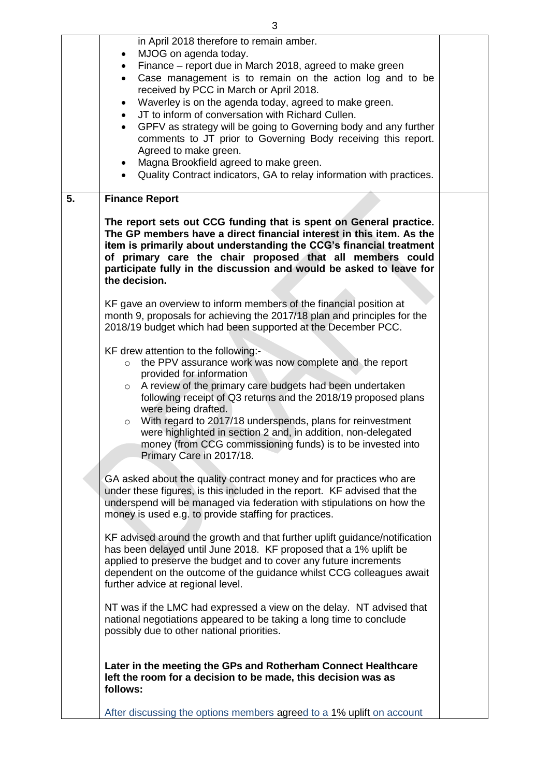|    | in April 2018 therefore to remain amber.                                                                                                                                                                                                                                                                                                                                                                                                                                                                                                   |  |
|----|--------------------------------------------------------------------------------------------------------------------------------------------------------------------------------------------------------------------------------------------------------------------------------------------------------------------------------------------------------------------------------------------------------------------------------------------------------------------------------------------------------------------------------------------|--|
|    | MJOG on agenda today.<br>Finance – report due in March 2018, agreed to make green                                                                                                                                                                                                                                                                                                                                                                                                                                                          |  |
|    | Case management is to remain on the action log and to be<br>$\bullet$<br>received by PCC in March or April 2018.                                                                                                                                                                                                                                                                                                                                                                                                                           |  |
|    | Waverley is on the agenda today, agreed to make green.                                                                                                                                                                                                                                                                                                                                                                                                                                                                                     |  |
|    | JT to inform of conversation with Richard Cullen.                                                                                                                                                                                                                                                                                                                                                                                                                                                                                          |  |
|    | GPFV as strategy will be going to Governing body and any further<br>$\bullet$                                                                                                                                                                                                                                                                                                                                                                                                                                                              |  |
|    | comments to JT prior to Governing Body receiving this report.<br>Agreed to make green.                                                                                                                                                                                                                                                                                                                                                                                                                                                     |  |
|    | Magna Brookfield agreed to make green.<br>٠                                                                                                                                                                                                                                                                                                                                                                                                                                                                                                |  |
|    | Quality Contract indicators, GA to relay information with practices.<br>$\bullet$                                                                                                                                                                                                                                                                                                                                                                                                                                                          |  |
| 5. | <b>Finance Report</b>                                                                                                                                                                                                                                                                                                                                                                                                                                                                                                                      |  |
|    | The report sets out CCG funding that is spent on General practice.<br>The GP members have a direct financial interest in this item. As the<br>item is primarily about understanding the CCG's financial treatment<br>of primary care the chair proposed that all members could<br>participate fully in the discussion and would be asked to leave for<br>the decision.                                                                                                                                                                     |  |
|    | KF gave an overview to inform members of the financial position at<br>month 9, proposals for achieving the 2017/18 plan and principles for the<br>2018/19 budget which had been supported at the December PCC.                                                                                                                                                                                                                                                                                                                             |  |
|    | KF drew attention to the following:-<br>the PPV assurance work was now complete and the report<br>$\circ$<br>provided for information<br>A review of the primary care budgets had been undertaken<br>$\circ$<br>following receipt of Q3 returns and the 2018/19 proposed plans<br>were being drafted.<br>With regard to 2017/18 underspends, plans for reinvestment<br>$\circ$<br>were highlighted in section 2 and, in addition, non-delegated<br>money (from CCG commissioning funds) is to be invested into<br>Primary Care in 2017/18. |  |
|    | GA asked about the quality contract money and for practices who are<br>under these figures, is this included in the report. KF advised that the<br>underspend will be managed via federation with stipulations on how the<br>money is used e.g. to provide staffing for practices.                                                                                                                                                                                                                                                         |  |
|    | KF advised around the growth and that further uplift guidance/notification<br>has been delayed until June 2018. KF proposed that a 1% uplift be<br>applied to preserve the budget and to cover any future increments<br>dependent on the outcome of the guidance whilst CCG colleagues await<br>further advice at regional level.                                                                                                                                                                                                          |  |
|    | NT was if the LMC had expressed a view on the delay. NT advised that<br>national negotiations appeared to be taking a long time to conclude<br>possibly due to other national priorities.                                                                                                                                                                                                                                                                                                                                                  |  |
|    | Later in the meeting the GPs and Rotherham Connect Healthcare<br>left the room for a decision to be made, this decision was as<br>follows:                                                                                                                                                                                                                                                                                                                                                                                                 |  |
|    | After discussing the options members agreed to a 1% uplift on account                                                                                                                                                                                                                                                                                                                                                                                                                                                                      |  |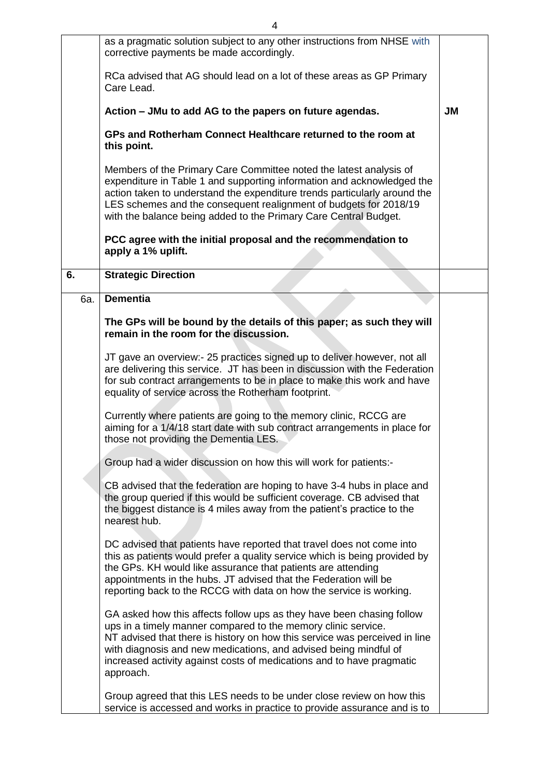|     | as a pragmatic solution subject to any other instructions from NHSE with<br>corrective payments be made accordingly.                                                                                                                                                                                                                                                           |           |
|-----|--------------------------------------------------------------------------------------------------------------------------------------------------------------------------------------------------------------------------------------------------------------------------------------------------------------------------------------------------------------------------------|-----------|
|     | RCa advised that AG should lead on a lot of these areas as GP Primary<br>Care Lead.                                                                                                                                                                                                                                                                                            |           |
|     | Action – JMu to add AG to the papers on future agendas.                                                                                                                                                                                                                                                                                                                        | <b>JM</b> |
|     | GPs and Rotherham Connect Healthcare returned to the room at<br>this point.                                                                                                                                                                                                                                                                                                    |           |
|     | Members of the Primary Care Committee noted the latest analysis of<br>expenditure in Table 1 and supporting information and acknowledged the<br>action taken to understand the expenditure trends particularly around the<br>LES schemes and the consequent realignment of budgets for 2018/19<br>with the balance being added to the Primary Care Central Budget.             |           |
|     | PCC agree with the initial proposal and the recommendation to<br>apply a 1% uplift.                                                                                                                                                                                                                                                                                            |           |
| 6.  | <b>Strategic Direction</b>                                                                                                                                                                                                                                                                                                                                                     |           |
| 6a. | <b>Dementia</b>                                                                                                                                                                                                                                                                                                                                                                |           |
|     | The GPs will be bound by the details of this paper; as such they will<br>remain in the room for the discussion.                                                                                                                                                                                                                                                                |           |
|     | JT gave an overview:- 25 practices signed up to deliver however, not all<br>are delivering this service. JT has been in discussion with the Federation<br>for sub contract arrangements to be in place to make this work and have<br>equality of service across the Rotherham footprint.                                                                                       |           |
|     | Currently where patients are going to the memory clinic, RCCG are<br>aiming for a 1/4/18 start date with sub contract arrangements in place for<br>those not providing the Dementia LES.                                                                                                                                                                                       |           |
|     | Group had a wider discussion on how this will work for patients:-                                                                                                                                                                                                                                                                                                              |           |
|     | CB advised that the federation are hoping to have 3-4 hubs in place and<br>the group queried if this would be sufficient coverage. CB advised that<br>the biggest distance is 4 miles away from the patient's practice to the<br>nearest hub.                                                                                                                                  |           |
|     | DC advised that patients have reported that travel does not come into<br>this as patients would prefer a quality service which is being provided by<br>the GPs. KH would like assurance that patients are attending<br>appointments in the hubs. JT advised that the Federation will be<br>reporting back to the RCCG with data on how the service is working.                 |           |
|     | GA asked how this affects follow ups as they have been chasing follow<br>ups in a timely manner compared to the memory clinic service.<br>NT advised that there is history on how this service was perceived in line<br>with diagnosis and new medications, and advised being mindful of<br>increased activity against costs of medications and to have pragmatic<br>approach. |           |
|     | Group agreed that this LES needs to be under close review on how this<br>service is accessed and works in practice to provide assurance and is to                                                                                                                                                                                                                              |           |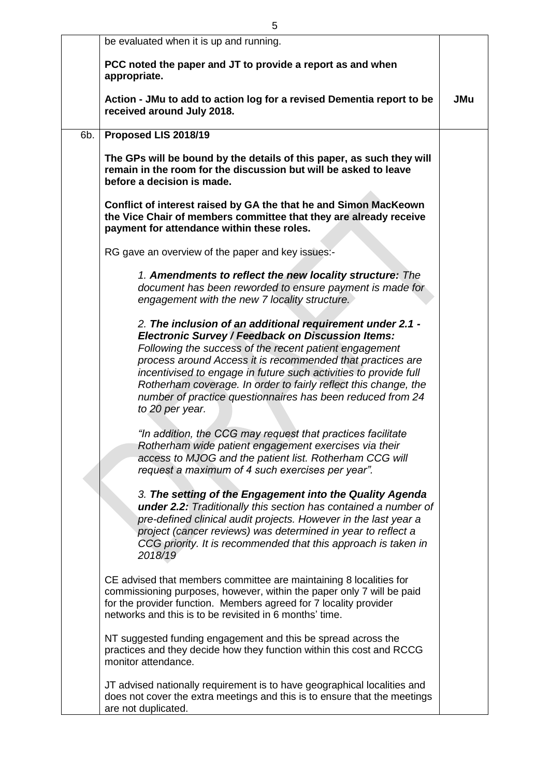|     | be evaluated when it is up and running.                                                                                                                                                                                                                                                                                                                                                                                                                               |            |
|-----|-----------------------------------------------------------------------------------------------------------------------------------------------------------------------------------------------------------------------------------------------------------------------------------------------------------------------------------------------------------------------------------------------------------------------------------------------------------------------|------------|
|     | PCC noted the paper and JT to provide a report as and when<br>appropriate.                                                                                                                                                                                                                                                                                                                                                                                            |            |
|     | Action - JMu to add to action log for a revised Dementia report to be<br>received around July 2018.                                                                                                                                                                                                                                                                                                                                                                   | <b>JMu</b> |
| 6b. | Proposed LIS 2018/19                                                                                                                                                                                                                                                                                                                                                                                                                                                  |            |
|     | The GPs will be bound by the details of this paper, as such they will<br>remain in the room for the discussion but will be asked to leave<br>before a decision is made.                                                                                                                                                                                                                                                                                               |            |
|     | Conflict of interest raised by GA the that he and Simon MacKeown<br>the Vice Chair of members committee that they are already receive<br>payment for attendance within these roles.                                                                                                                                                                                                                                                                                   |            |
|     | RG gave an overview of the paper and key issues:-                                                                                                                                                                                                                                                                                                                                                                                                                     |            |
|     | 1. Amendments to reflect the new locality structure: The<br>document has been reworded to ensure payment is made for<br>engagement with the new 7 locality structure.                                                                                                                                                                                                                                                                                                 |            |
|     | 2. The inclusion of an additional requirement under 2.1 -<br><b>Electronic Survey / Feedback on Discussion Items:</b><br>Following the success of the recent patient engagement<br>process around Access it is recommended that practices are<br>incentivised to engage in future such activities to provide full<br>Rotherham coverage. In order to fairly reflect this change, the<br>number of practice questionnaires has been reduced from 24<br>to 20 per year. |            |
|     | "In addition, the CCG may request that practices facilitate<br>Rotherham wide patient engagement exercises via their<br>access to MJOG and the patient list. Rotherham CCG will<br>request a maximum of 4 such exercises per year".                                                                                                                                                                                                                                   |            |
|     | 3. The setting of the Engagement into the Quality Agenda<br><b>under 2.2:</b> Traditionally this section has contained a number of<br>pre-defined clinical audit projects. However in the last year a<br>project (cancer reviews) was determined in year to reflect a<br>CCG priority. It is recommended that this approach is taken in<br>2018/19                                                                                                                    |            |
|     | CE advised that members committee are maintaining 8 localities for<br>commissioning purposes, however, within the paper only 7 will be paid<br>for the provider function. Members agreed for 7 locality provider<br>networks and this is to be revisited in 6 months' time.                                                                                                                                                                                           |            |
|     | NT suggested funding engagement and this be spread across the<br>practices and they decide how they function within this cost and RCCG<br>monitor attendance.                                                                                                                                                                                                                                                                                                         |            |
|     | JT advised nationally requirement is to have geographical localities and<br>does not cover the extra meetings and this is to ensure that the meetings<br>are not duplicated.                                                                                                                                                                                                                                                                                          |            |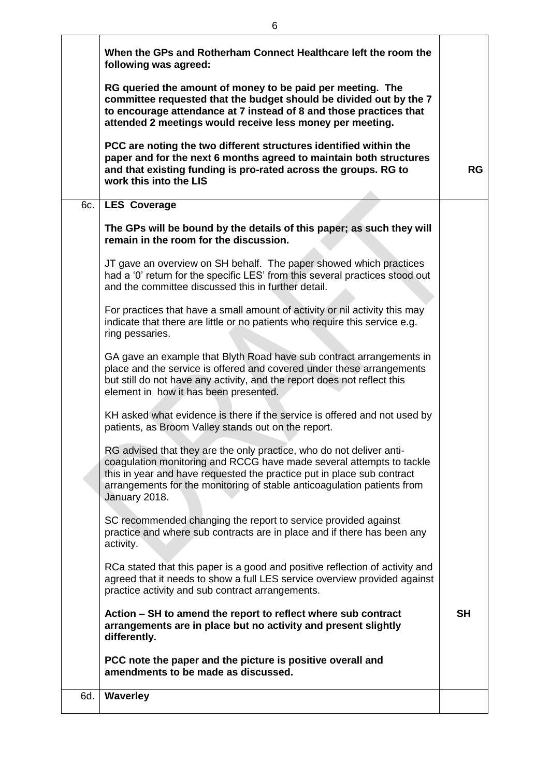|     | When the GPs and Rotherham Connect Healthcare left the room the<br>following was agreed:                                                                                                                                                                                                                           |           |
|-----|--------------------------------------------------------------------------------------------------------------------------------------------------------------------------------------------------------------------------------------------------------------------------------------------------------------------|-----------|
|     | RG queried the amount of money to be paid per meeting. The<br>committee requested that the budget should be divided out by the 7<br>to encourage attendance at 7 instead of 8 and those practices that<br>attended 2 meetings would receive less money per meeting.                                                |           |
|     | PCC are noting the two different structures identified within the<br>paper and for the next 6 months agreed to maintain both structures<br>and that existing funding is pro-rated across the groups. RG to<br>work this into the LIS                                                                               | RG        |
|     | 6c.   LES Coverage                                                                                                                                                                                                                                                                                                 |           |
|     | The GPs will be bound by the details of this paper; as such they will<br>remain in the room for the discussion.                                                                                                                                                                                                    |           |
|     | JT gave an overview on SH behalf. The paper showed which practices<br>had a '0' return for the specific LES' from this several practices stood out<br>and the committee discussed this in further detail.                                                                                                          |           |
|     | For practices that have a small amount of activity or nil activity this may<br>indicate that there are little or no patients who require this service e.g.<br>ring pessaries.                                                                                                                                      |           |
|     | GA gave an example that Blyth Road have sub contract arrangements in<br>place and the service is offered and covered under these arrangements<br>but still do not have any activity, and the report does not reflect this<br>element in how it has been presented.                                                 |           |
|     | KH asked what evidence is there if the service is offered and not used by<br>patients, as Broom Valley stands out on the report.                                                                                                                                                                                   |           |
|     | RG advised that they are the only practice, who do not deliver anti-<br>coagulation monitoring and RCCG have made several attempts to tackle<br>this in year and have requested the practice put in place sub contract<br>arrangements for the monitoring of stable anticoagulation patients from<br>January 2018. |           |
|     | SC recommended changing the report to service provided against<br>practice and where sub contracts are in place and if there has been any<br>activity.                                                                                                                                                             |           |
|     | RCa stated that this paper is a good and positive reflection of activity and<br>agreed that it needs to show a full LES service overview provided against<br>practice activity and sub contract arrangements.                                                                                                      |           |
|     | Action – SH to amend the report to reflect where sub contract<br>arrangements are in place but no activity and present slightly<br>differently.                                                                                                                                                                    | <b>SH</b> |
|     | PCC note the paper and the picture is positive overall and<br>amendments to be made as discussed.                                                                                                                                                                                                                  |           |
| 6d. | <b>Waverley</b>                                                                                                                                                                                                                                                                                                    |           |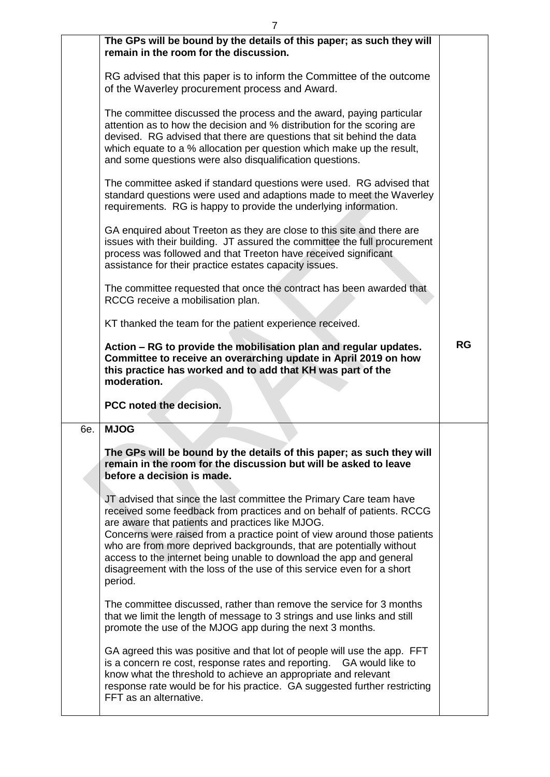|     | The GPs will be bound by the details of this paper; as such they will<br>remain in the room for the discussion.                                                                                                                                                                                                                                                                                                                                                                                                  |           |
|-----|------------------------------------------------------------------------------------------------------------------------------------------------------------------------------------------------------------------------------------------------------------------------------------------------------------------------------------------------------------------------------------------------------------------------------------------------------------------------------------------------------------------|-----------|
|     | RG advised that this paper is to inform the Committee of the outcome<br>of the Waverley procurement process and Award.                                                                                                                                                                                                                                                                                                                                                                                           |           |
|     | The committee discussed the process and the award, paying particular<br>attention as to how the decision and % distribution for the scoring are<br>devised. RG advised that there are questions that sit behind the data<br>which equate to a % allocation per question which make up the result,<br>and some questions were also disqualification questions.                                                                                                                                                    |           |
|     | The committee asked if standard questions were used. RG advised that<br>standard questions were used and adaptions made to meet the Waverley<br>requirements. RG is happy to provide the underlying information.                                                                                                                                                                                                                                                                                                 |           |
|     | GA enquired about Treeton as they are close to this site and there are<br>issues with their building. JT assured the committee the full procurement<br>process was followed and that Treeton have received significant<br>assistance for their practice estates capacity issues.                                                                                                                                                                                                                                 |           |
|     | The committee requested that once the contract has been awarded that<br>RCCG receive a mobilisation plan.                                                                                                                                                                                                                                                                                                                                                                                                        |           |
|     | KT thanked the team for the patient experience received.                                                                                                                                                                                                                                                                                                                                                                                                                                                         |           |
|     | Action – RG to provide the mobilisation plan and regular updates.<br>Committee to receive an overarching update in April 2019 on how<br>this practice has worked and to add that KH was part of the<br>moderation.                                                                                                                                                                                                                                                                                               | <b>RG</b> |
|     | PCC noted the decision.                                                                                                                                                                                                                                                                                                                                                                                                                                                                                          |           |
| 6e. | <b>MJOG</b>                                                                                                                                                                                                                                                                                                                                                                                                                                                                                                      |           |
|     | The GPs will be bound by the details of this paper; as such they will<br>remain in the room for the discussion but will be asked to leave<br>before a decision is made.                                                                                                                                                                                                                                                                                                                                          |           |
|     | JT advised that since the last committee the Primary Care team have<br>received some feedback from practices and on behalf of patients. RCCG<br>are aware that patients and practices like MJOG.<br>Concerns were raised from a practice point of view around those patients<br>who are from more deprived backgrounds, that are potentially without<br>access to the internet being unable to download the app and general<br>disagreement with the loss of the use of this service even for a short<br>period. |           |
|     | The committee discussed, rather than remove the service for 3 months<br>that we limit the length of message to 3 strings and use links and still<br>promote the use of the MJOG app during the next 3 months.                                                                                                                                                                                                                                                                                                    |           |
|     | GA agreed this was positive and that lot of people will use the app. FFT<br>is a concern re cost, response rates and reporting. GA would like to<br>know what the threshold to achieve an appropriate and relevant<br>response rate would be for his practice. GA suggested further restricting<br>FFT as an alternative.                                                                                                                                                                                        |           |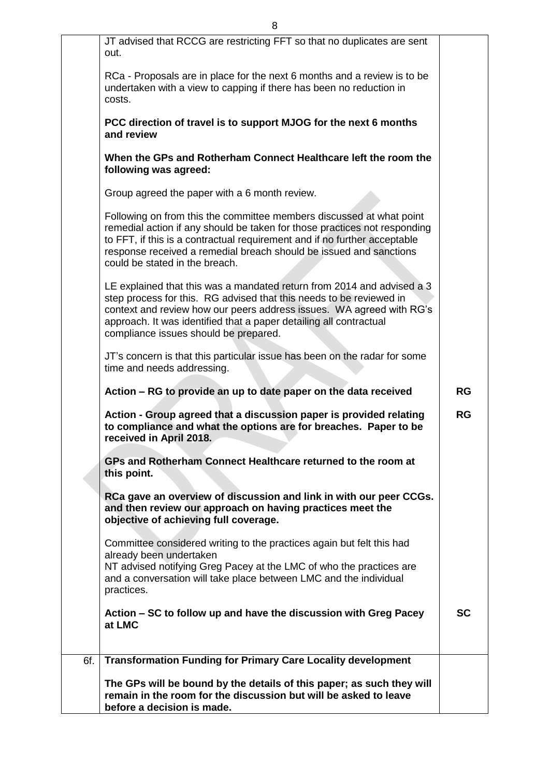|     | JT advised that RCCG are restricting FFT so that no duplicates are sent<br>out.                                                                                                                                                                                                                                                        |           |
|-----|----------------------------------------------------------------------------------------------------------------------------------------------------------------------------------------------------------------------------------------------------------------------------------------------------------------------------------------|-----------|
|     | RCa - Proposals are in place for the next 6 months and a review is to be<br>undertaken with a view to capping if there has been no reduction in<br>costs.                                                                                                                                                                              |           |
|     | PCC direction of travel is to support MJOG for the next 6 months<br>and review                                                                                                                                                                                                                                                         |           |
|     | When the GPs and Rotherham Connect Healthcare left the room the<br>following was agreed:                                                                                                                                                                                                                                               |           |
|     | Group agreed the paper with a 6 month review.                                                                                                                                                                                                                                                                                          |           |
|     | Following on from this the committee members discussed at what point<br>remedial action if any should be taken for those practices not responding<br>to FFT, if this is a contractual requirement and if no further acceptable<br>response received a remedial breach should be issued and sanctions<br>could be stated in the breach. |           |
|     | LE explained that this was a mandated return from 2014 and advised a 3<br>step process for this. RG advised that this needs to be reviewed in<br>context and review how our peers address issues. WA agreed with RG's<br>approach. It was identified that a paper detailing all contractual<br>compliance issues should be prepared.   |           |
|     | JT's concern is that this particular issue has been on the radar for some<br>time and needs addressing.                                                                                                                                                                                                                                |           |
|     | Action – RG to provide an up to date paper on the data received                                                                                                                                                                                                                                                                        | <b>RG</b> |
|     | Action - Group agreed that a discussion paper is provided relating<br>to compliance and what the options are for breaches. Paper to be<br>received in April 2018.                                                                                                                                                                      | <b>RG</b> |
|     | GPs and Rotherham Connect Healthcare returned to the room at<br>this point.                                                                                                                                                                                                                                                            |           |
|     | RCa gave an overview of discussion and link in with our peer CCGs.<br>and then review our approach on having practices meet the<br>objective of achieving full coverage.                                                                                                                                                               |           |
|     | Committee considered writing to the practices again but felt this had<br>already been undertaken<br>NT advised notifying Greg Pacey at the LMC of who the practices are                                                                                                                                                                |           |
|     | and a conversation will take place between LMC and the individual<br>practices.                                                                                                                                                                                                                                                        |           |
|     | Action – SC to follow up and have the discussion with Greg Pacey<br>at LMC                                                                                                                                                                                                                                                             | <b>SC</b> |
| 6f. | <b>Transformation Funding for Primary Care Locality development</b>                                                                                                                                                                                                                                                                    |           |
|     | The GPs will be bound by the details of this paper; as such they will<br>remain in the room for the discussion but will be asked to leave<br>before a decision is made.                                                                                                                                                                |           |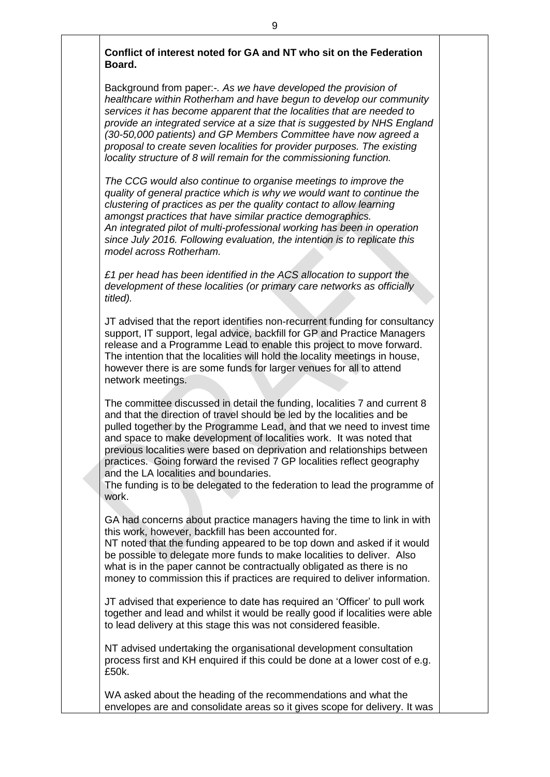## **Conflict of interest noted for GA and NT who sit on the Federation Board.**

Background from paper:-*. As we have developed the provision of healthcare within Rotherham and have begun to develop our community services it has become apparent that the localities that are needed to provide an integrated service at a size that is suggested by NHS England (30-50,000 patients) and GP Members Committee have now agreed a proposal to create seven localities for provider purposes. The existing locality structure of 8 will remain for the commissioning function.* 

*The CCG would also continue to organise meetings to improve the quality of general practice which is why we would want to continue the clustering of practices as per the quality contact to allow learning amongst practices that have similar practice demographics. An integrated pilot of multi-professional working has been in operation since July 2016. Following evaluation, the intention is to replicate this model across Rotherham.*

*£1 per head has been identified in the ACS allocation to support the development of these localities (or primary care networks as officially titled).*

JT advised that the report identifies non-recurrent funding for consultancy support, IT support, legal advice, backfill for GP and Practice Managers release and a Programme Lead to enable this project to move forward. The intention that the localities will hold the locality meetings in house, however there is are some funds for larger venues for all to attend network meetings.

The committee discussed in detail the funding, localities 7 and current 8 and that the direction of travel should be led by the localities and be pulled together by the Programme Lead, and that we need to invest time and space to make development of localities work. It was noted that previous localities were based on deprivation and relationships between practices. Going forward the revised 7 GP localities reflect geography and the LA localities and boundaries.

The funding is to be delegated to the federation to lead the programme of work.

GA had concerns about practice managers having the time to link in with this work, however, backfill has been accounted for.

NT noted that the funding appeared to be top down and asked if it would be possible to delegate more funds to make localities to deliver. Also what is in the paper cannot be contractually obligated as there is no money to commission this if practices are required to deliver information.

JT advised that experience to date has required an 'Officer' to pull work together and lead and whilst it would be really good if localities were able to lead delivery at this stage this was not considered feasible.

NT advised undertaking the organisational development consultation process first and KH enquired if this could be done at a lower cost of e.g. £50k.

WA asked about the heading of the recommendations and what the envelopes are and consolidate areas so it gives scope for delivery. It was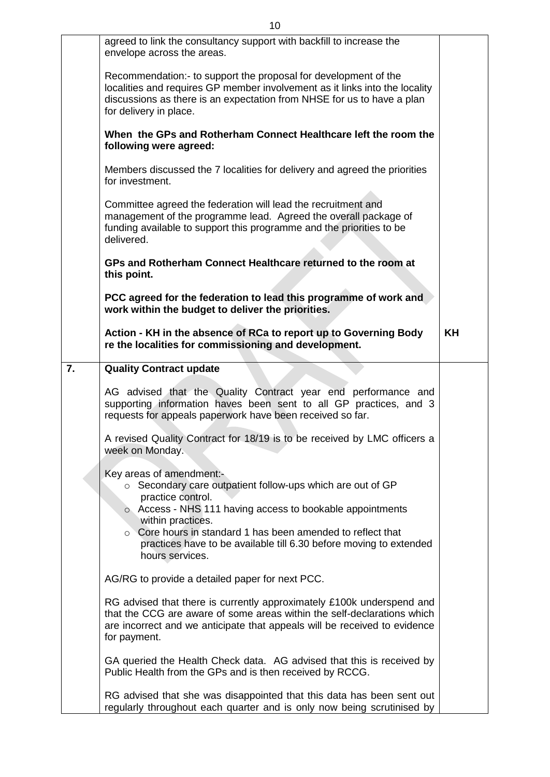|    | agreed to link the consultancy support with backfill to increase the<br>envelope across the areas.                                                                                                                                                 |           |
|----|----------------------------------------------------------------------------------------------------------------------------------------------------------------------------------------------------------------------------------------------------|-----------|
|    | Recommendation:- to support the proposal for development of the<br>localities and requires GP member involvement as it links into the locality<br>discussions as there is an expectation from NHSE for us to have a plan<br>for delivery in place. |           |
|    | When the GPs and Rotherham Connect Healthcare left the room the<br>following were agreed:                                                                                                                                                          |           |
|    | Members discussed the 7 localities for delivery and agreed the priorities<br>for investment.                                                                                                                                                       |           |
|    | Committee agreed the federation will lead the recruitment and<br>management of the programme lead. Agreed the overall package of<br>funding available to support this programme and the priorities to be<br>delivered.                             |           |
|    | GPs and Rotherham Connect Healthcare returned to the room at                                                                                                                                                                                       |           |
|    | this point.                                                                                                                                                                                                                                        |           |
|    |                                                                                                                                                                                                                                                    |           |
|    | PCC agreed for the federation to lead this programme of work and<br>work within the budget to deliver the priorities.                                                                                                                              |           |
|    | Action - KH in the absence of RCa to report up to Governing Body<br>re the localities for commissioning and development.                                                                                                                           | <b>KH</b> |
| 7. | <b>Quality Contract update</b>                                                                                                                                                                                                                     |           |
|    | AG advised that the Quality Contract year end performance and<br>supporting information haves been sent to all GP practices, and 3<br>requests for appeals paperwork have been received so far.                                                    |           |
|    | A revised Quality Contract for 18/19 is to be received by LMC officers a<br>week on Monday.                                                                                                                                                        |           |
|    | Key areas of amendment:-<br>$\circ$ Secondary care outpatient follow-ups which are out of GP<br>practice control.                                                                                                                                  |           |
|    | o Access - NHS 111 having access to bookable appointments<br>within practices.                                                                                                                                                                     |           |
|    | $\circ$ Core hours in standard 1 has been amended to reflect that<br>practices have to be available till 6.30 before moving to extended<br>hours services.                                                                                         |           |
|    | AG/RG to provide a detailed paper for next PCC.                                                                                                                                                                                                    |           |
|    | RG advised that there is currently approximately £100k underspend and<br>that the CCG are aware of some areas within the self-declarations which<br>are incorrect and we anticipate that appeals will be received to evidence<br>for payment.      |           |
|    | GA queried the Health Check data. AG advised that this is received by<br>Public Health from the GPs and is then received by RCCG.                                                                                                                  |           |
|    | RG advised that she was disappointed that this data has been sent out<br>regularly throughout each quarter and is only now being scrutinised by                                                                                                    |           |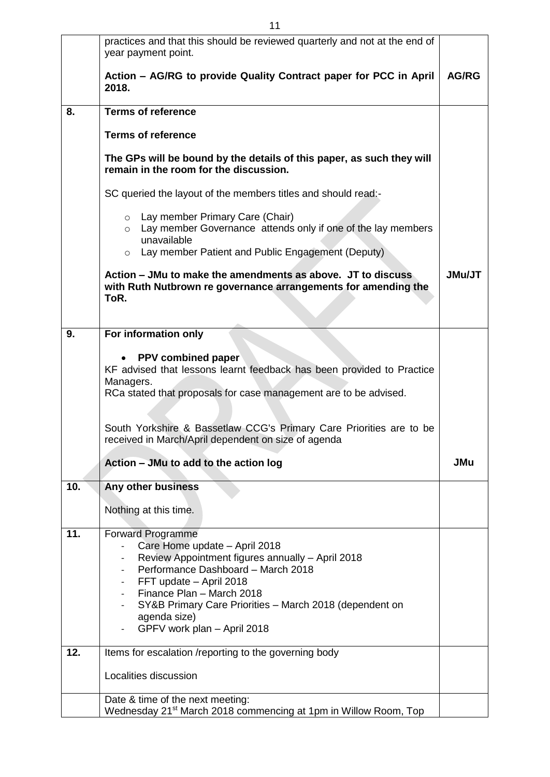|     | practices and that this should be reviewed quarterly and not at the end of<br>year payment point.                                                                                           |               |
|-----|---------------------------------------------------------------------------------------------------------------------------------------------------------------------------------------------|---------------|
|     | Action – AG/RG to provide Quality Contract paper for PCC in April<br>2018.                                                                                                                  | <b>AG/RG</b>  |
| 8.  | <b>Terms of reference</b>                                                                                                                                                                   |               |
|     | <b>Terms of reference</b>                                                                                                                                                                   |               |
|     | The GPs will be bound by the details of this paper, as such they will<br>remain in the room for the discussion.                                                                             |               |
|     | SC queried the layout of the members titles and should read:-                                                                                                                               |               |
|     | o Lay member Primary Care (Chair)<br>Lay member Governance attends only if one of the lay members<br>$\circ$<br>unavailable<br>Lay member Patient and Public Engagement (Deputy)<br>$\circ$ |               |
|     |                                                                                                                                                                                             |               |
|     | Action – JMu to make the amendments as above. JT to discuss<br>with Ruth Nutbrown re governance arrangements for amending the<br>ToR.                                                       | <b>JMu/JT</b> |
| 9.  | For information only                                                                                                                                                                        |               |
|     |                                                                                                                                                                                             |               |
|     | PPV combined paper<br>KF advised that lessons learnt feedback has been provided to Practice<br>Managers.                                                                                    |               |
|     | RCa stated that proposals for case management are to be advised.                                                                                                                            |               |
|     |                                                                                                                                                                                             |               |
|     | South Yorkshire & Bassetlaw CCG's Primary Care Priorities are to be<br>received in March/April dependent on size of agenda                                                                  |               |
|     | Action - JMu to add to the action log                                                                                                                                                       | JMu           |
| 10. | Any other business                                                                                                                                                                          |               |
|     | Nothing at this time.                                                                                                                                                                       |               |
|     |                                                                                                                                                                                             |               |
| 11. | <b>Forward Programme</b>                                                                                                                                                                    |               |
|     | Care Home update - April 2018<br>Review Appointment figures annually - April 2018                                                                                                           |               |
|     | Performance Dashboard - March 2018                                                                                                                                                          |               |
|     | FFT update - April 2018<br>Finance Plan - March 2018                                                                                                                                        |               |
|     | SY&B Primary Care Priorities - March 2018 (dependent on                                                                                                                                     |               |
|     | agenda size)                                                                                                                                                                                |               |
|     | GPFV work plan - April 2018                                                                                                                                                                 |               |
| 12. | Items for escalation /reporting to the governing body                                                                                                                                       |               |
|     | Localities discussion                                                                                                                                                                       |               |
|     | Date & time of the next meeting:                                                                                                                                                            |               |
|     | Wednesday 21 <sup>st</sup> March 2018 commencing at 1pm in Willow Room, Top                                                                                                                 |               |